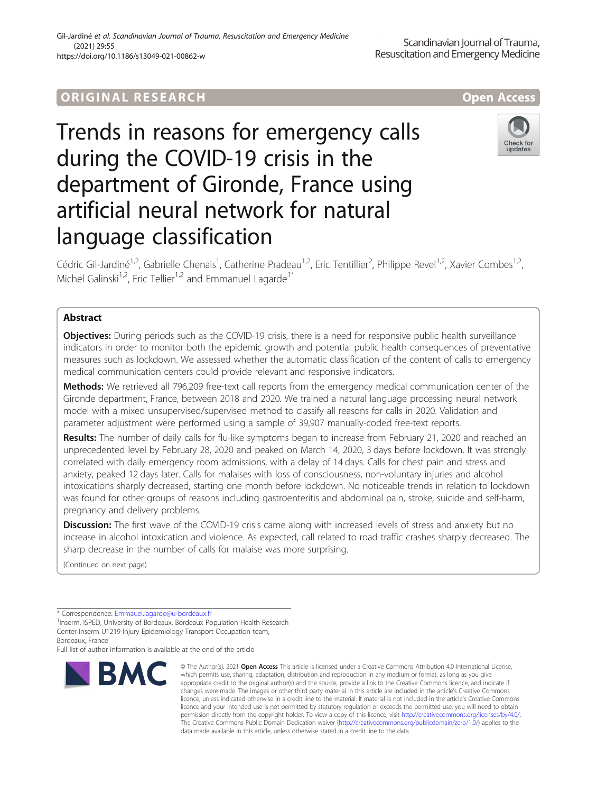#### Gil-Jardiné et al. Scandinavian Journal of Trauma, Resuscitation and Emergency Medicine (2021) 29:55 https://doi.org/10.1186/s13049-021-00862-w

# ORIGINA L R E S EA RCH Open Access

# Trends in reasons for emergency calls during the COVID-19 crisis in the department of Gironde, France using artificial neural network for natural language classification



Cédric Gil-Jardiné<sup>1,2</sup>, Gabrielle Chenais<sup>1</sup>, Catherine Pradeau<sup>1,2</sup>, Eric Tentillier<sup>2</sup>, Philippe Revel<sup>1,2</sup>, Xavier Combes<sup>1,2</sup>, Michel Galinski<sup>1,2</sup>, Eric Tellier<sup>1,2</sup> and Emmanuel Lagarde<sup>1\*</sup>

# Abstract

Objectives: During periods such as the COVID-19 crisis, there is a need for responsive public health surveillance indicators in order to monitor both the epidemic growth and potential public health consequences of preventative measures such as lockdown. We assessed whether the automatic classification of the content of calls to emergency medical communication centers could provide relevant and responsive indicators.

Methods: We retrieved all 796,209 free-text call reports from the emergency medical communication center of the Gironde department, France, between 2018 and 2020. We trained a natural language processing neural network model with a mixed unsupervised/supervised method to classify all reasons for calls in 2020. Validation and parameter adjustment were performed using a sample of 39,907 manually-coded free-text reports.

Results: The number of daily calls for flu-like symptoms began to increase from February 21, 2020 and reached an unprecedented level by February 28, 2020 and peaked on March 14, 2020, 3 days before lockdown. It was strongly correlated with daily emergency room admissions, with a delay of 14 days. Calls for chest pain and stress and anxiety, peaked 12 days later. Calls for malaises with loss of consciousness, non-voluntary injuries and alcohol intoxications sharply decreased, starting one month before lockdown. No noticeable trends in relation to lockdown was found for other groups of reasons including gastroenteritis and abdominal pain, stroke, suicide and self-harm, pregnancy and delivery problems.

**Discussion:** The first wave of the COVID-19 crisis came along with increased levels of stress and anxiety but no increase in alcohol intoxication and violence. As expected, call related to road traffic crashes sharply decreased. The sharp decrease in the number of calls for malaise was more surprising.

(Continued on next page)

Bordeaux, France

Full list of author information is available at the end of the article



<sup>©</sup> The Author(s), 2021 **Open Access** This article is licensed under a Creative Commons Attribution 4.0 International License, which permits use, sharing, adaptation, distribution and reproduction in any medium or format, as long as you give appropriate credit to the original author(s) and the source, provide a link to the Creative Commons licence, and indicate if changes were made. The images or other third party material in this article are included in the article's Creative Commons licence, unless indicated otherwise in a credit line to the material. If material is not included in the article's Creative Commons licence and your intended use is not permitted by statutory regulation or exceeds the permitted use, you will need to obtain permission directly from the copyright holder. To view a copy of this licence, visit [http://creativecommons.org/licenses/by/4.0/.](http://creativecommons.org/licenses/by/4.0/) The Creative Commons Public Domain Dedication waiver [\(http://creativecommons.org/publicdomain/zero/1.0/](http://creativecommons.org/publicdomain/zero/1.0/)) applies to the data made available in this article, unless otherwise stated in a credit line to the data.

<sup>\*</sup> Correspondence: [Emmauel.lagarde@u-bordeaux.fr](mailto:Emmauel.lagarde@u-bordeaux.fr) <sup>1</sup>

<sup>&</sup>lt;sup>1</sup> Inserm, ISPED, University of Bordeaux, Bordeaux Population Health Research Center Inserm U1219 Injury Epidemiology Transport Occupation team,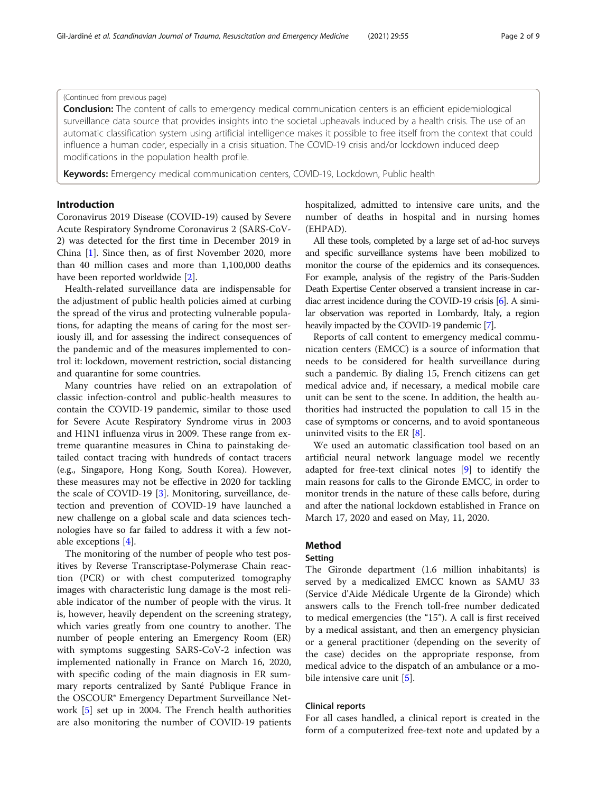# (Continued from previous page)

**Conclusion:** The content of calls to emergency medical communication centers is an efficient epidemiological surveillance data source that provides insights into the societal upheavals induced by a health crisis. The use of an automatic classification system using artificial intelligence makes it possible to free itself from the context that could influence a human coder, especially in a crisis situation. The COVID-19 crisis and/or lockdown induced deep modifications in the population health profile.

Keywords: Emergency medical communication centers, COVID-19, Lockdown, Public health

# Introduction

Coronavirus 2019 Disease (COVID-19) caused by Severe Acute Respiratory Syndrome Coronavirus 2 (SARS-CoV-2) was detected for the first time in December 2019 in China [\[1](#page-7-0)]. Since then, as of first November 2020, more than 40 million cases and more than 1,100,000 deaths have been reported worldwide [[2\]](#page-7-0).

Health-related surveillance data are indispensable for the adjustment of public health policies aimed at curbing the spread of the virus and protecting vulnerable populations, for adapting the means of caring for the most seriously ill, and for assessing the indirect consequences of the pandemic and of the measures implemented to control it: lockdown, movement restriction, social distancing and quarantine for some countries.

Many countries have relied on an extrapolation of classic infection-control and public-health measures to contain the COVID-19 pandemic, similar to those used for Severe Acute Respiratory Syndrome virus in 2003 and H1N1 influenza virus in 2009. These range from extreme quarantine measures in China to painstaking detailed contact tracing with hundreds of contact tracers (e.g., Singapore, Hong Kong, South Korea). However, these measures may not be effective in 2020 for tackling the scale of COVID-19 [\[3](#page-7-0)]. Monitoring, surveillance, detection and prevention of COVID-19 have launched a new challenge on a global scale and data sciences technologies have so far failed to address it with a few notable exceptions [\[4](#page-7-0)].

The monitoring of the number of people who test positives by Reverse Transcriptase-Polymerase Chain reaction (PCR) or with chest computerized tomography images with characteristic lung damage is the most reliable indicator of the number of people with the virus. It is, however, heavily dependent on the screening strategy, which varies greatly from one country to another. The number of people entering an Emergency Room (ER) with symptoms suggesting SARS-CoV-2 infection was implemented nationally in France on March 16, 2020, with specific coding of the main diagnosis in ER summary reports centralized by Santé Publique France in the OSCOUR® Emergency Department Surveillance Network [[5](#page-7-0)] set up in 2004. The French health authorities are also monitoring the number of COVID-19 patients hospitalized, admitted to intensive care units, and the number of deaths in hospital and in nursing homes (EHPAD).

All these tools, completed by a large set of ad-hoc surveys and specific surveillance systems have been mobilized to monitor the course of the epidemics and its consequences. For example, analysis of the registry of the Paris-Sudden Death Expertise Center observed a transient increase in cardiac arrest incidence during the COVID-19 crisis [\[6](#page-7-0)]. A similar observation was reported in Lombardy, Italy, a region heavily impacted by the COVID-19 pandemic [\[7\]](#page-7-0).

Reports of call content to emergency medical communication centers (EMCC) is a source of information that needs to be considered for health surveillance during such a pandemic. By dialing 15, French citizens can get medical advice and, if necessary, a medical mobile care unit can be sent to the scene. In addition, the health authorities had instructed the population to call 15 in the case of symptoms or concerns, and to avoid spontaneous uninvited visits to the ER [\[8](#page-7-0)].

We used an automatic classification tool based on an artificial neural network language model we recently adapted for free-text clinical notes [[9\]](#page-7-0) to identify the main reasons for calls to the Gironde EMCC, in order to monitor trends in the nature of these calls before, during and after the national lockdown established in France on March 17, 2020 and eased on May, 11, 2020.

# Method

#### Setting

The Gironde department (1.6 million inhabitants) is served by a medicalized EMCC known as SAMU 33 (Service d'Aide Médicale Urgente de la Gironde) which answers calls to the French toll-free number dedicated to medical emergencies (the "15"). A call is first received by a medical assistant, and then an emergency physician or a general practitioner (depending on the severity of the case) decides on the appropriate response, from medical advice to the dispatch of an ambulance or a mo-bile intensive care unit [[5\]](#page-7-0).

# Clinical reports

For all cases handled, a clinical report is created in the form of a computerized free-text note and updated by a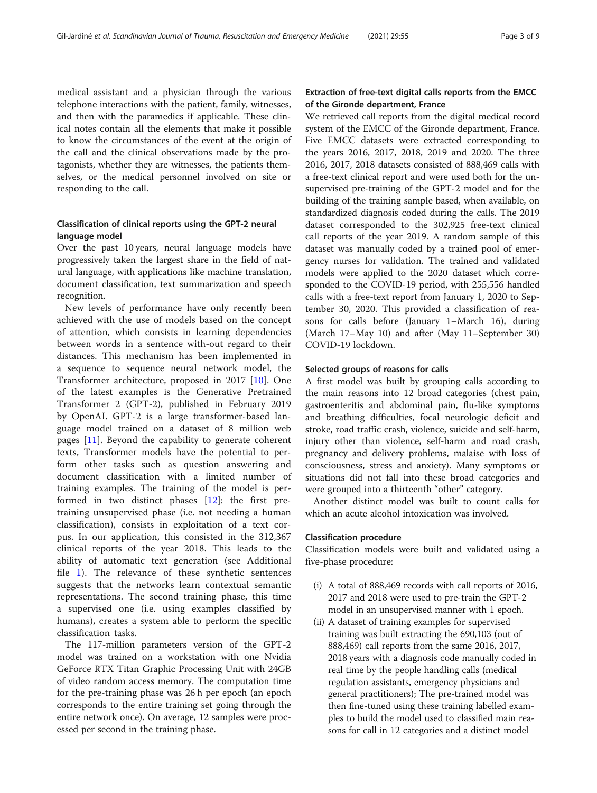medical assistant and a physician through the various telephone interactions with the patient, family, witnesses, and then with the paramedics if applicable. These clinical notes contain all the elements that make it possible to know the circumstances of the event at the origin of the call and the clinical observations made by the protagonists, whether they are witnesses, the patients themselves, or the medical personnel involved on site or responding to the call.

# Classification of clinical reports using the GPT-2 neural language model

Over the past 10 years, neural language models have progressively taken the largest share in the field of natural language, with applications like machine translation, document classification, text summarization and speech recognition.

New levels of performance have only recently been achieved with the use of models based on the concept of attention, which consists in learning dependencies between words in a sentence with-out regard to their distances. This mechanism has been implemented in a sequence to sequence neural network model, the Transformer architecture, proposed in 2017 [[10](#page-7-0)]. One of the latest examples is the Generative Pretrained Transformer 2 (GPT-2), published in February 2019 by OpenAI. GPT-2 is a large transformer-based language model trained on a dataset of 8 million web pages [[11\]](#page-7-0). Beyond the capability to generate coherent texts, Transformer models have the potential to perform other tasks such as question answering and document classification with a limited number of training examples. The training of the model is performed in two distinct phases [\[12](#page-7-0)]: the first pretraining unsupervised phase (i.e. not needing a human classification), consists in exploitation of a text corpus. In our application, this consisted in the 312,367 clinical reports of the year 2018. This leads to the ability of automatic text generation (see Additional file [1](#page-7-0)). The relevance of these synthetic sentences suggests that the networks learn contextual semantic representations. The second training phase, this time a supervised one (i.e. using examples classified by humans), creates a system able to perform the specific classification tasks.

The 117-million parameters version of the GPT-2 model was trained on a workstation with one Nvidia GeForce RTX Titan Graphic Processing Unit with 24GB of video random access memory. The computation time for the pre-training phase was 26 h per epoch (an epoch corresponds to the entire training set going through the entire network once). On average, 12 samples were processed per second in the training phase.

# Extraction of free-text digital calls reports from the EMCC of the Gironde department, France

We retrieved call reports from the digital medical record system of the EMCC of the Gironde department, France. Five EMCC datasets were extracted corresponding to the years 2016, 2017, 2018, 2019 and 2020. The three 2016, 2017, 2018 datasets consisted of 888,469 calls with a free-text clinical report and were used both for the unsupervised pre-training of the GPT-2 model and for the building of the training sample based, when available, on standardized diagnosis coded during the calls. The 2019 dataset corresponded to the 302,925 free-text clinical call reports of the year 2019. A random sample of this dataset was manually coded by a trained pool of emergency nurses for validation. The trained and validated models were applied to the 2020 dataset which corresponded to the COVID-19 period, with 255,556 handled calls with a free-text report from January 1, 2020 to September 30, 2020. This provided a classification of reasons for calls before (January 1–March 16), during (March 17–May 10) and after (May 11–September 30) COVID-19 lockdown.

#### Selected groups of reasons for calls

A first model was built by grouping calls according to the main reasons into 12 broad categories (chest pain, gastroenteritis and abdominal pain, flu-like symptoms and breathing difficulties, focal neurologic deficit and stroke, road traffic crash, violence, suicide and self-harm, injury other than violence, self-harm and road crash, pregnancy and delivery problems, malaise with loss of consciousness, stress and anxiety). Many symptoms or situations did not fall into these broad categories and were grouped into a thirteenth "other" category.

Another distinct model was built to count calls for which an acute alcohol intoxication was involved.

#### Classification procedure

Classification models were built and validated using a five-phase procedure:

- (i) A total of 888,469 records with call reports of 2016, 2017 and 2018 were used to pre-train the GPT-2 model in an unsupervised manner with 1 epoch.
- (ii) A dataset of training examples for supervised training was built extracting the 690,103 (out of 888,469) call reports from the same 2016, 2017, 2018 years with a diagnosis code manually coded in real time by the people handling calls (medical regulation assistants, emergency physicians and general practitioners); The pre-trained model was then fine-tuned using these training labelled examples to build the model used to classified main reasons for call in 12 categories and a distinct model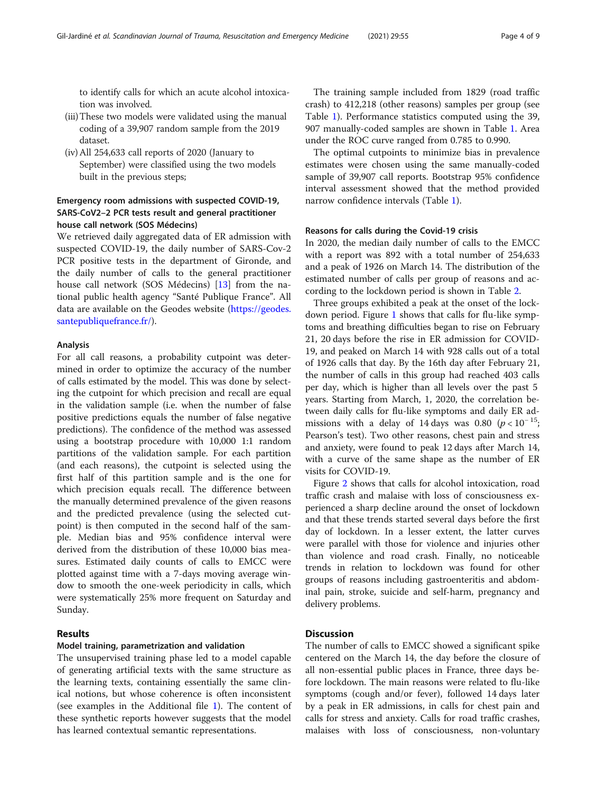to identify calls for which an acute alcohol intoxication was involved.

- (iii)These two models were validated using the manual coding of a 39,907 random sample from the 2019 dataset.
- (iv) All 254,633 call reports of 2020 (January to September) were classified using the two models built in the previous steps;

# Emergency room admissions with suspected COVID-19, SARS-CoV2–2 PCR tests result and general practitioner house call network (SOS Médecins)

We retrieved daily aggregated data of ER admission with suspected COVID-19, the daily number of SARS-Cov-2 PCR positive tests in the department of Gironde, and the daily number of calls to the general practitioner house call network (SOS Médecins) [[13](#page-7-0)] from the national public health agency "Santé Publique France". All data are available on the Geodes website [\(https://geodes.](https://geodes.santepubliquefrance.fr/) [santepubliquefrance.fr/\)](https://geodes.santepubliquefrance.fr/).

# Analysis

For all call reasons, a probability cutpoint was determined in order to optimize the accuracy of the number of calls estimated by the model. This was done by selecting the cutpoint for which precision and recall are equal in the validation sample (i.e. when the number of false positive predictions equals the number of false negative predictions). The confidence of the method was assessed using a bootstrap procedure with 10,000 1:1 random partitions of the validation sample. For each partition (and each reasons), the cutpoint is selected using the first half of this partition sample and is the one for which precision equals recall. The difference between the manually determined prevalence of the given reasons and the predicted prevalence (using the selected cutpoint) is then computed in the second half of the sample. Median bias and 95% confidence interval were derived from the distribution of these 10,000 bias measures. Estimated daily counts of calls to EMCC were plotted against time with a 7-days moving average window to smooth the one-week periodicity in calls, which were systematically 25% more frequent on Saturday and Sunday.

# Results

# Model training, parametrization and validation

The unsupervised training phase led to a model capable of generating artificial texts with the same structure as the learning texts, containing essentially the same clinical notions, but whose coherence is often inconsistent (see examples in the Additional file [1](#page-7-0)). The content of these synthetic reports however suggests that the model has learned contextual semantic representations.

The training sample included from 1829 (road traffic crash) to 412,218 (other reasons) samples per group (see Table [1](#page-4-0)). Performance statistics computed using the 39, 907 manually-coded samples are shown in Table [1.](#page-4-0) Area under the ROC curve ranged from 0.785 to 0.990.

The optimal cutpoints to minimize bias in prevalence estimates were chosen using the same manually-coded sample of 39,907 call reports. Bootstrap 95% confidence interval assessment showed that the method provided narrow confidence intervals (Table [1](#page-4-0)).

# Reasons for calls during the Covid-19 crisis

In 2020, the median daily number of calls to the EMCC with a report was 892 with a total number of 254,633 and a peak of 1926 on March 14. The distribution of the estimated number of calls per group of reasons and according to the lockdown period is shown in Table [2.](#page-4-0)

Three groups exhibited a peak at the onset of the lockdown period. Figure [1](#page-5-0) shows that calls for flu-like symptoms and breathing difficulties began to rise on February 21, 20 days before the rise in ER admission for COVID-19, and peaked on March 14 with 928 calls out of a total of 1926 calls that day. By the 16th day after February 21, the number of calls in this group had reached 403 calls per day, which is higher than all levels over the past 5 years. Starting from March, 1, 2020, the correlation between daily calls for flu-like symptoms and daily ER admissions with a delay of 14 days was 0.80 ( $p < 10^{-15}$ ; Pearson's test). Two other reasons, chest pain and stress and anxiety, were found to peak 12 days after March 14, with a curve of the same shape as the number of ER visits for COVID-19.

Figure [2](#page-5-0) shows that calls for alcohol intoxication, road traffic crash and malaise with loss of consciousness experienced a sharp decline around the onset of lockdown and that these trends started several days before the first day of lockdown. In a lesser extent, the latter curves were parallel with those for violence and injuries other than violence and road crash. Finally, no noticeable trends in relation to lockdown was found for other groups of reasons including gastroenteritis and abdominal pain, stroke, suicide and self-harm, pregnancy and delivery problems.

# **Discussion**

The number of calls to EMCC showed a significant spike centered on the March 14, the day before the closure of all non-essential public places in France, three days before lockdown. The main reasons were related to flu-like symptoms (cough and/or fever), followed 14 days later by a peak in ER admissions, in calls for chest pain and calls for stress and anxiety. Calls for road traffic crashes, malaises with loss of consciousness, non-voluntary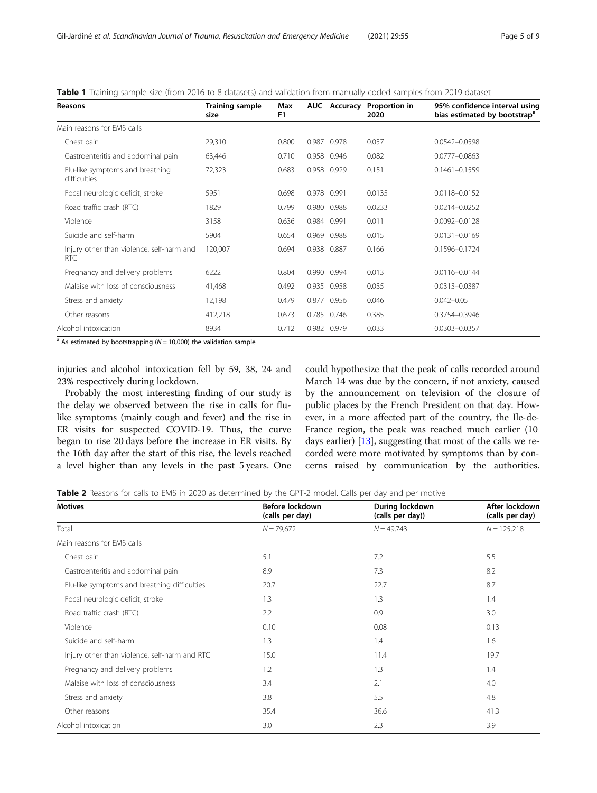<span id="page-4-0"></span>

|  | <b>Table 1</b> Training sample size (from 2016 to 8 datasets) and validation from manually coded samples from 2019 dataset |  |
|--|----------------------------------------------------------------------------------------------------------------------------|--|
|--|----------------------------------------------------------------------------------------------------------------------------|--|

| Reasons                                                 | <b>Training sample</b><br>size | Max<br>F <sub>1</sub> |       |             | AUC Accuracy Proportion in<br>2020 | 95% confidence interval using<br>bias estimated by bootstrap <sup>a</sup> |
|---------------------------------------------------------|--------------------------------|-----------------------|-------|-------------|------------------------------------|---------------------------------------------------------------------------|
| Main reasons for EMS calls                              |                                |                       |       |             |                                    |                                                                           |
| Chest pain                                              | 29,310                         | 0.800                 |       | 0.987 0.978 | 0.057                              | 0.0542-0.0598                                                             |
| Gastroenteritis and abdominal pain                      | 63,446                         | 0.710                 |       | 0.958 0.946 | 0.082                              | 0.0777-0.0863                                                             |
| Flu-like symptoms and breathing<br>difficulties         | 72,323                         | 0.683                 |       | 0.958 0.929 | 0.151                              | $0.1461 - 0.1559$                                                         |
| Focal neurologic deficit, stroke                        | 5951                           | 0.698                 |       | 0.978 0.991 | 0.0135                             | 0.0118-0.0152                                                             |
| Road traffic crash (RTC)                                | 1829                           | 0.799                 |       | 0.980 0.988 | 0.0233                             | 0.0214-0.0252                                                             |
| Violence                                                | 3158                           | 0.636                 |       | 0.984 0.991 | 0.011                              | 0.0092-0.0128                                                             |
| Suicide and self-harm                                   | 5904                           | 0.654                 | 0.969 | 0.988       | 0.015                              | 0.0131-0.0169                                                             |
| Injury other than violence, self-harm and<br><b>RTC</b> | 120,007                        | 0.694                 | 0.938 | 0.887       | 0.166                              | 0.1596-0.1724                                                             |
| Pregnancy and delivery problems                         | 6222                           | 0.804                 |       | 0.990 0.994 | 0.013                              | 0.0116-0.0144                                                             |
| Malaise with loss of consciousness                      | 41,468                         | 0.492                 | 0.935 | 0.958       | 0.035                              | 0.0313-0.0387                                                             |
| Stress and anxiety                                      | 12,198                         | 0.479                 | 0.877 | 0.956       | 0.046                              | $0.042 - 0.05$                                                            |
| Other reasons                                           | 412,218                        | 0.673                 | 0.785 | 0.746       | 0.385                              | 0.3754-0.3946                                                             |
| Alcohol intoxication                                    | 8934                           | 0.712                 |       | 0.982 0.979 | 0.033                              | 0.0303-0.0357                                                             |

 $a$  As estimated by bootstrapping ( $N = 10,000$ ) the validation sample

injuries and alcohol intoxication fell by 59, 38, 24 and 23% respectively during lockdown.

Probably the most interesting finding of our study is the delay we observed between the rise in calls for flulike symptoms (mainly cough and fever) and the rise in ER visits for suspected COVID-19. Thus, the curve began to rise 20 days before the increase in ER visits. By the 16th day after the start of this rise, the levels reached a level higher than any levels in the past 5 years. One could hypothesize that the peak of calls recorded around March 14 was due by the concern, if not anxiety, caused by the announcement on television of the closure of public places by the French President on that day. However, in a more affected part of the country, the Ile-de-France region, the peak was reached much earlier (10 days earlier)  $[13]$  $[13]$ , suggesting that most of the calls we recorded were more motivated by symptoms than by concerns raised by communication by the authorities.

Table 2 Reasons for calls to EMS in 2020 as determined by the GPT-2 model. Calls per day and per motive

| <b>Motives</b>                                | Before lockdown<br>(calls per day) | During lockdown<br>(calls per day)) | After lockdown<br>(calls per day) |
|-----------------------------------------------|------------------------------------|-------------------------------------|-----------------------------------|
| Total                                         | $N = 79,672$                       | $N = 49,743$                        | $N = 125,218$                     |
| Main reasons for EMS calls                    |                                    |                                     |                                   |
| Chest pain                                    | 5.1                                | 7.2                                 | 5.5                               |
| Gastroenteritis and abdominal pain            | 8.9                                | 7.3                                 | 8.2                               |
| Flu-like symptoms and breathing difficulties  | 20.7                               | 22.7                                | 8.7                               |
| Focal neurologic deficit, stroke              | 1.3                                | 1.3                                 | 1.4                               |
| Road traffic crash (RTC)                      | 2.2                                | 0.9                                 | 3.0                               |
| Violence                                      | 0.10                               | 0.08                                | 0.13                              |
| Suicide and self-harm                         | 1.3                                | 1.4                                 | 1.6                               |
| Injury other than violence, self-harm and RTC | 15.0                               | 11.4                                | 19.7                              |
| Pregnancy and delivery problems               | 1.2                                | 1.3                                 | 1.4                               |
| Malaise with loss of consciousness            | 3.4                                | 2.1                                 | 4.0                               |
| Stress and anxiety                            | 3.8                                | 5.5                                 | 4.8                               |
| Other reasons                                 | 35.4                               | 36.6                                | 41.3                              |
| Alcohol intoxication                          | 3.0                                | 2.3                                 | 3.9                               |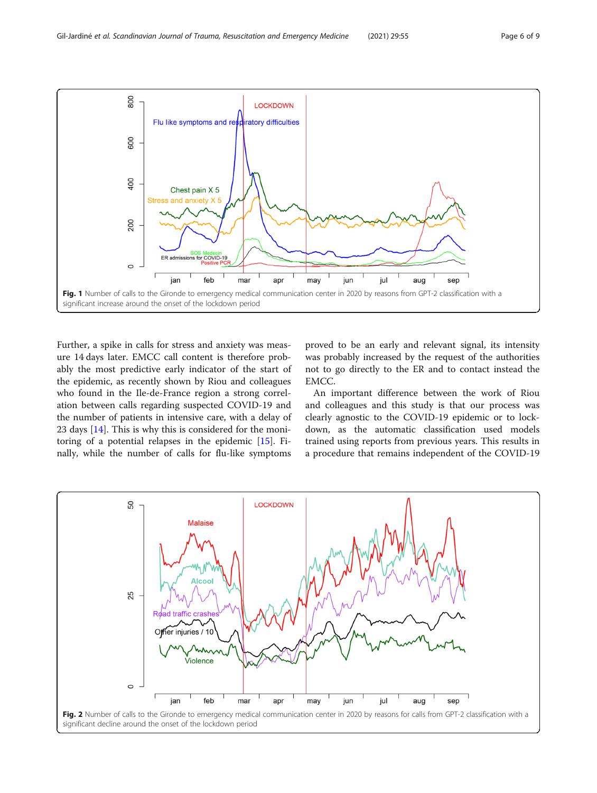<span id="page-5-0"></span>

Further, a spike in calls for stress and anxiety was measure 14 days later. EMCC call content is therefore probably the most predictive early indicator of the start of the epidemic, as recently shown by Riou and colleagues who found in the Ile-de-France region a strong correlation between calls regarding suspected COVID-19 and the number of patients in intensive care, with a delay of 23 days [\[14](#page-7-0)]. This is why this is considered for the monitoring of a potential relapses in the epidemic [[15](#page-7-0)]. Finally, while the number of calls for flu-like symptoms

proved to be an early and relevant signal, its intensity was probably increased by the request of the authorities not to go directly to the ER and to contact instead the EMCC.

An important difference between the work of Riou and colleagues and this study is that our process was clearly agnostic to the COVID-19 epidemic or to lockdown, as the automatic classification used models trained using reports from previous years. This results in a procedure that remains independent of the COVID-19

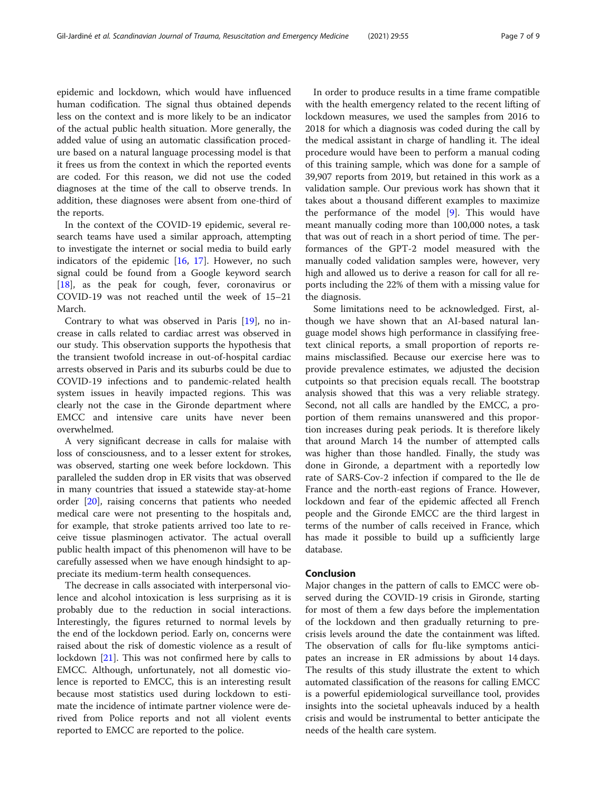epidemic and lockdown, which would have influenced human codification. The signal thus obtained depends less on the context and is more likely to be an indicator of the actual public health situation. More generally, the added value of using an automatic classification procedure based on a natural language processing model is that it frees us from the context in which the reported events are coded. For this reason, we did not use the coded diagnoses at the time of the call to observe trends. In addition, these diagnoses were absent from one-third of the reports.

In the context of the COVID-19 epidemic, several research teams have used a similar approach, attempting to investigate the internet or social media to build early indicators of the epidemic [[16,](#page-7-0) [17](#page-7-0)]. However, no such signal could be found from a Google keyword search [[18\]](#page-7-0), as the peak for cough, fever, coronavirus or COVID-19 was not reached until the week of 15–21 March.

Contrary to what was observed in Paris [\[19\]](#page-7-0), no increase in calls related to cardiac arrest was observed in our study. This observation supports the hypothesis that the transient twofold increase in out-of-hospital cardiac arrests observed in Paris and its suburbs could be due to COVID-19 infections and to pandemic-related health system issues in heavily impacted regions. This was clearly not the case in the Gironde department where EMCC and intensive care units have never been overwhelmed.

A very significant decrease in calls for malaise with loss of consciousness, and to a lesser extent for strokes, was observed, starting one week before lockdown. This paralleled the sudden drop in ER visits that was observed in many countries that issued a statewide stay-at-home order [[20\]](#page-8-0), raising concerns that patients who needed medical care were not presenting to the hospitals and, for example, that stroke patients arrived too late to receive tissue plasminogen activator. The actual overall public health impact of this phenomenon will have to be carefully assessed when we have enough hindsight to appreciate its medium-term health consequences.

The decrease in calls associated with interpersonal violence and alcohol intoxication is less surprising as it is probably due to the reduction in social interactions. Interestingly, the figures returned to normal levels by the end of the lockdown period. Early on, concerns were raised about the risk of domestic violence as a result of lockdown [\[21](#page-8-0)]. This was not confirmed here by calls to EMCC. Although, unfortunately, not all domestic violence is reported to EMCC, this is an interesting result because most statistics used during lockdown to estimate the incidence of intimate partner violence were derived from Police reports and not all violent events reported to EMCC are reported to the police.

In order to produce results in a time frame compatible with the health emergency related to the recent lifting of lockdown measures, we used the samples from 2016 to 2018 for which a diagnosis was coded during the call by the medical assistant in charge of handling it. The ideal procedure would have been to perform a manual coding of this training sample, which was done for a sample of 39,907 reports from 2019, but retained in this work as a validation sample. Our previous work has shown that it takes about a thousand different examples to maximize the performance of the model [[9\]](#page-7-0). This would have meant manually coding more than 100,000 notes, a task that was out of reach in a short period of time. The performances of the GPT-2 model measured with the manually coded validation samples were, however, very high and allowed us to derive a reason for call for all reports including the 22% of them with a missing value for the diagnosis.

Some limitations need to be acknowledged. First, although we have shown that an AI-based natural language model shows high performance in classifying freetext clinical reports, a small proportion of reports remains misclassified. Because our exercise here was to provide prevalence estimates, we adjusted the decision cutpoints so that precision equals recall. The bootstrap analysis showed that this was a very reliable strategy. Second, not all calls are handled by the EMCC, a proportion of them remains unanswered and this proportion increases during peak periods. It is therefore likely that around March 14 the number of attempted calls was higher than those handled. Finally, the study was done in Gironde, a department with a reportedly low rate of SARS-Cov-2 infection if compared to the Ile de France and the north-east regions of France. However, lockdown and fear of the epidemic affected all French people and the Gironde EMCC are the third largest in terms of the number of calls received in France, which has made it possible to build up a sufficiently large database.

# Conclusion

Major changes in the pattern of calls to EMCC were observed during the COVID-19 crisis in Gironde, starting for most of them a few days before the implementation of the lockdown and then gradually returning to precrisis levels around the date the containment was lifted. The observation of calls for flu-like symptoms anticipates an increase in ER admissions by about 14 days. The results of this study illustrate the extent to which automated classification of the reasons for calling EMCC is a powerful epidemiological surveillance tool, provides insights into the societal upheavals induced by a health crisis and would be instrumental to better anticipate the needs of the health care system.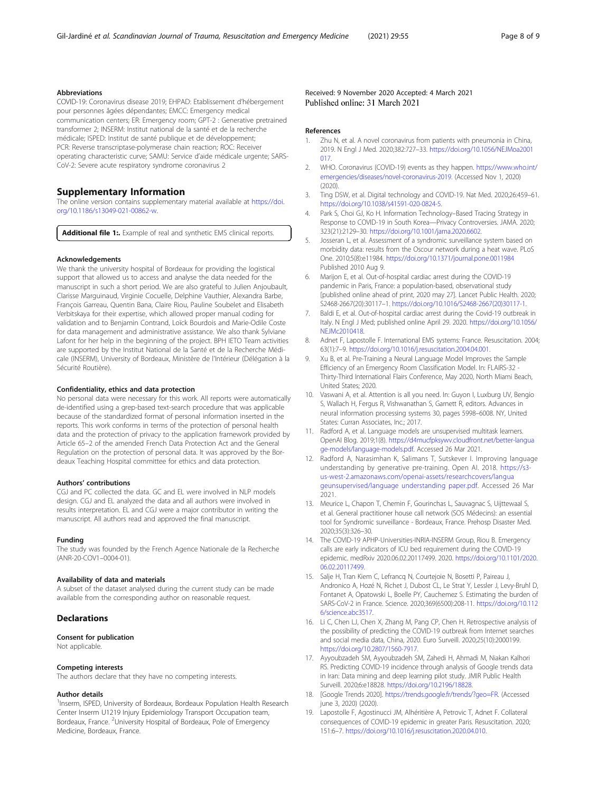#### <span id="page-7-0"></span>Abbreviations

COVID-19: Coronavirus disease 2019; EHPAD: Etablissement d'hébergement pour personnes âgées dépendantes; EMCC: Emergency medical communication centers; ER: Emergency room; GPT-2 : Generative pretrained transformer 2; INSERM: Institut national de la santé et de la recherche médicale; ISPED: Institut de santé publique et de développement; PCR: Reverse transcriptase-polymerase chain reaction; ROC: Receiver operating characteristic curve; SAMU: Service d'aide médicale urgente; SARS-CoV-2: Severe acute respiratory syndrome coronavirus 2

# Supplementary Information

The online version contains supplementary material available at [https://doi.](https://doi.org/10.1186/s13049-021-00862-w) [org/10.1186/s13049-021-00862-w](https://doi.org/10.1186/s13049-021-00862-w).

Additional file 1: Example of real and synthetic EMS clinical reports.

#### Acknowledgements

We thank the university hospital of Bordeaux for providing the logistical support that allowed us to access and analyse the data needed for the manuscript in such a short period. We are also grateful to Julien Anjoubault, Clarisse Marguinaud, Virginie Cocuelle, Delphine Vauthier, Alexandra Barbe, François Garreau, Quentin Bana, Claire Riou, Pauline Soubelet and Elisabeth Verbitskaya for their expertise, which allowed proper manual coding for validation and to Benjamin Contrand, Loïck Bourdois and Marie-Odile Coste for data management and administrative assistance. We also thank Sylviane Lafont for her help in the beginning of the project. BPH IETO Team activities are supported by the Institut National de la Santé et de la Recherche Médicale (INSERM), University of Bordeaux, Ministère de l'Intérieur (Délégation à la Sécurité Routière).

#### Confidentiality, ethics and data protection

No personal data were necessary for this work. All reports were automatically de-identified using a grep-based text-search procedure that was applicable because of the standardized format of personal information inserted in the reports. This work conforms in terms of the protection of personal health data and the protection of privacy to the application framework provided by Article 65–2 of the amended French Data Protection Act and the General Regulation on the protection of personal data. It was approved by the Bordeaux Teaching Hospital committee for ethics and data protection.

#### Authors' contributions

CGJ and PC collected the data. GC and EL were involved in NLP models design. CGJ and EL analyzed the data and all authors were involved in results interpretation. EL and CGJ were a major contributor in writing the manuscript. All authors read and approved the final manuscript.

#### Funding

The study was founded by the French Agence Nationale de la Recherche (ANR-20-COV1–0004-01).

## Availability of data and materials

A subset of the dataset analysed during the current study can be made available from the corresponding author on reasonable request.

#### **Declarations**

#### Consent for publication

Not applicable.

#### Competing interests

The authors declare that they have no competing interests.

#### Author details

<sup>1</sup> Inserm, ISPED, University of Bordeaux, Bordeaux Population Health Research Center Inserm U1219 Injury Epidemiology Transport Occupation team, Bordeaux, France. <sup>2</sup>University Hospital of Bordeaux, Pole of Emergency Medicine, Bordeaux, France.

Received: 9 November 2020 Accepted: 4 March 2021 Published online: 31 March 2021

#### References

- 1. Zhu N, et al. A novel coronavirus from patients with pneumonia in China, 2019. N Engl J Med. 2020;382:727–33. [https://doi.org/10.1056/NEJMoa2001](https://doi.org/10.1056/NEJMoa2001017) [017.](https://doi.org/10.1056/NEJMoa2001017)
- 2. WHO. Coronavirus (COVID-19) events as they happen. [https://www.who.int/](https://www.who.int/emergencies/diseases/novel-coronavirus-2019) [emergencies/diseases/novel-coronavirus-2019](https://www.who.int/emergencies/diseases/novel-coronavirus-2019). (Accessed Nov 1, 2020)  $(2020)$
- 3. Ting DSW, et al. Digital technology and COVID-19. Nat Med. 2020;26:459–61. <https://doi.org/10.1038/s41591-020-0824-5>.
- 4. Park S, Choi GJ, Ko H. Information Technology–Based Tracing Strategy in Response to COVID-19 in South Korea—Privacy Controversies. JAMA. 2020; 323(21):2129–30. [https://doi.org/10.1001/jama.2020.6602.](https://doi.org/10.1001/jama.2020.6602)
- 5. Josseran L, et al. Assessment of a syndromic surveillance system based on morbidity data: results from the Oscour network during a heat wave. PLoS One. 2010;5(8):e11984. <https://doi.org/10.1371/journal.pone.0011984> Published 2010 Aug 9.
- 6. Marijon E, et al. Out-of-hospital cardiac arrest during the COVID-19 pandemic in Paris, France: a population-based, observational study [published online ahead of print, 2020 may 27]. Lancet Public Health. 2020; S2468-2667(20):30117–1. [https://doi.org/10.1016/S2468-2667\(20\)30117-1](https://doi.org/10.1016/S2468-2667(20)30117-1).
- 7. Baldi E, et al. Out-of-hospital cardiac arrest during the Covid-19 outbreak in Italy. N Engl J Med; published online April 29. 2020. [https://doi.org/10.1056/](https://doi.org/10.1056/NEJMc2010418) [NEJMc2010418](https://doi.org/10.1056/NEJMc2010418).
- 8. Adnet F, Lapostolle F. International EMS systems: France. Resuscitation. 2004; 63(1):7–9. <https://doi.org/10.1016/j.resuscitation.2004.04.001>.
- Xu B, et al. Pre-Training a Neural Language Model Improves the Sample Efficiency of an Emergency Room Classification Model. In: FLAIRS-32 - Thirty-Third International Flairs Conference, May 2020, North Miami Beach, United States; 2020.
- 10. Vaswani A, et al. Attention is all you need. In: Guyon I, Luxburg UV, Bengio S, Wallach H, Fergus R, Vishwanathan S, Garnett R, editors. Advances in neural information processing systems 30, pages 5998–6008. NY, United States: Curran Associates, Inc.; 2017.
- 11. Radford A, et al. Language models are unsupervised multitask learners. OpenAI Blog. 2019;1(8). [https://d4mucfpksywv.cloudfront.net/better-langua](https://d4mucfpksywv.cloudfront.net/better-language-models/language-models.pdf) [ge-models/language-models.pdf.](https://d4mucfpksywv.cloudfront.net/better-language-models/language-models.pdf) Accessed 26 Mar 2021.
- 12. Radford A, Narasimhan K, Salimans T, Sutskever I. Improving language understanding by generative pre-training. Open AI. 2018. [https://s3](https://s3-us-west-2.amazonaws.com/openai-assets/researchcovers/languageunsupervised/language%20understanding%20paper.pdf) [us-west-2.amazonaws.com/openai-assets/researchcovers/langua](https://s3-us-west-2.amazonaws.com/openai-assets/researchcovers/languageunsupervised/language%20understanding%20paper.pdf) [geunsupervised/language understanding paper.pdf.](https://s3-us-west-2.amazonaws.com/openai-assets/researchcovers/languageunsupervised/language%20understanding%20paper.pdf) Accessed 26 Mar 2021.
- 13. Meurice L, Chapon T, Chemin F, Gourinchas L, Sauvagnac S, Uijttewaal S, et al. General practitioner house call network (SOS Médecins): an essential tool for Syndromic surveillance - Bordeaux, France. Prehosp Disaster Med. 2020;35(3):326–30.
- 14. The COVID-19 APHP-Universities-INRIA-INSERM Group, Riou B. Emergency calls are early indicators of ICU bed requirement during the COVID-19 epidemic. medRxiv 2020.06.02.20117499. 2020. [https://doi.org/10.1101/2020.](https://doi.org/10.1101/2020.06.02.20117499) [06.02.20117499](https://doi.org/10.1101/2020.06.02.20117499).
- 15. Salje H, Tran Kiem C, Lefrancq N, Courtejoie N, Bosetti P, Paireau J, Andronico A, Hozé N, Richet J, Dubost CL, Le Strat Y, Lessler J, Levy-Bruhl D, Fontanet A, Opatowski L, Boelle PY, Cauchemez S. Estimating the burden of SARS-CoV-2 in France. Science. 2020;369(6500):208-11. [https://doi.org/10.112](https://doi.org/10.1126/science.abc3517) [6/science.abc3517.](https://doi.org/10.1126/science.abc3517)
- 16. Li C, Chen LJ, Chen X, Zhang M, Pang CP, Chen H. Retrospective analysis of the possibility of predicting the COVID-19 outbreak from Internet searches and social media data, China, 2020. Euro Surveill. 2020;25(10):2000199. <https://doi.org/10.2807/1560-7917>.
- 17. Ayyoubzadeh SM, Ayyoubzadeh SM, Zahedi H, Ahmadi M, Niakan Kalhori RS. Predicting COVID-19 incidence through analysis of Google trends data in Iran: Data mining and deep learning pilot study. JMIR Public Health Surveill. 2020;6:e18828. [https://doi.org/10.2196/18828.](https://doi.org/10.2196/18828)
- 18. [Google Trends 2020]. [https://trends.google.fr/trends/?geo=FR.](https://trends.google.fr/trends/?geo=FR) (Accessed june 3, 2020) (2020).
- 19. Lapostolle F, Agostinucci JM, Alhéritière A, Petrovic T, Adnet F. Collateral consequences of COVID-19 epidemic in greater Paris. Resuscitation. 2020; 151:6–7. [https://doi.org/10.1016/j.resuscitation.2020.04.010.](https://doi.org/10.1016/j.resuscitation.2020.04.010)